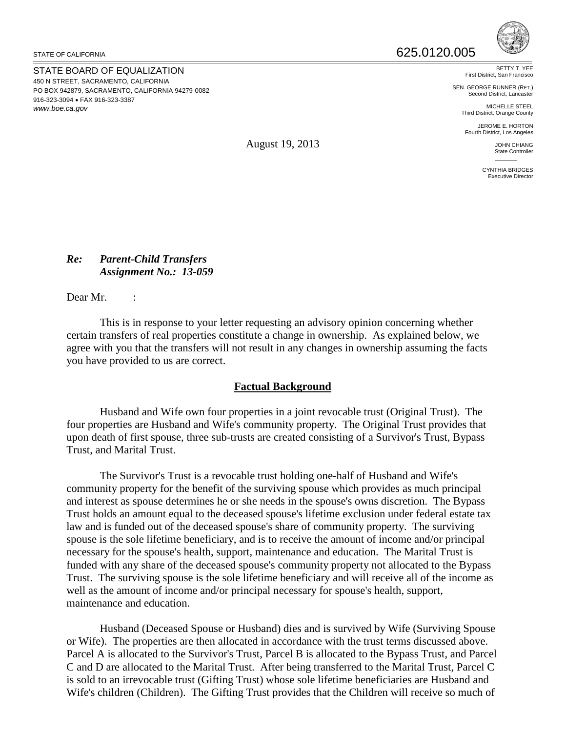STATE BOARD OF EQUALIZATION 450 N STREET, SACRAMENTO, CALIFORNIA PO BOX 942879, SACRAMENTO, CALIFORNIA 94279-0082 916-323-3094 • FAX 916-323-3387 *www.boe.ca.gov*



BETTY T. YEE First District, San Francisco

SEN. GEORGE RUNNER (RET.) Second District, Lancaster

> MICHELLE STEEL Third District, Orange County JEROME E. HORTON

Fourth District, Los Angeles

JOHN CHIANG State Controller

 $\overline{\phantom{a}}$ CYNTHIA BRIDGES Executive Director

August 19, 2013

### *Re: Parent-Child Transfers Assignment No.: 13-059*

Dear Mr. :

This is in response to your letter requesting an advisory opinion concerning whether certain transfers of real properties constitute a change in ownership. As explained below, we agree with you that the transfers will not result in any changes in ownership assuming the facts you have provided to us are correct.

# **Factual Background**

Husband and Wife own four properties in a joint revocable trust (Original Trust). The four properties are Husband and Wife's community property. The Original Trust provides that upon death of first spouse, three sub-trusts are created consisting of a Survivor's Trust, Bypass Trust, and Marital Trust.

The Survivor's Trust is a revocable trust holding one-half of Husband and Wife's community property for the benefit of the surviving spouse which provides as much principal and interest as spouse determines he or she needs in the spouse's owns discretion. The Bypass Trust holds an amount equal to the deceased spouse's lifetime exclusion under federal estate tax law and is funded out of the deceased spouse's share of community property. The surviving spouse is the sole lifetime beneficiary, and is to receive the amount of income and/or principal necessary for the spouse's health, support, maintenance and education. The Marital Trust is funded with any share of the deceased spouse's community property not allocated to the Bypass Trust. The surviving spouse is the sole lifetime beneficiary and will receive all of the income as well as the amount of income and/or principal necessary for spouse's health, support, maintenance and education.

Husband (Deceased Spouse or Husband) dies and is survived by Wife (Surviving Spouse or Wife). The properties are then allocated in accordance with the trust terms discussed above. Parcel A is allocated to the Survivor's Trust, Parcel B is allocated to the Bypass Trust, and Parcel C and D are allocated to the Marital Trust. After being transferred to the Marital Trust, Parcel C is sold to an irrevocable trust (Gifting Trust) whose sole lifetime beneficiaries are Husband and Wife's children (Children). The Gifting Trust provides that the Children will receive so much of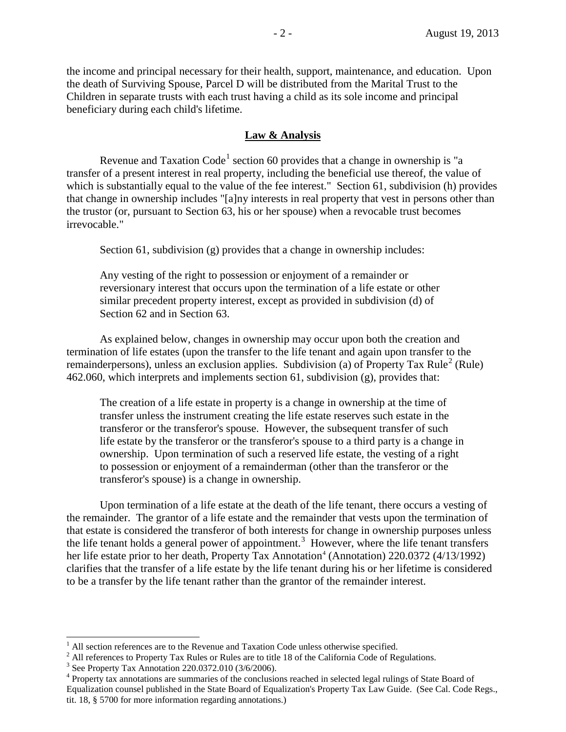the income and principal necessary for their health, support, maintenance, and education. Upon the death of Surviving Spouse, Parcel D will be distributed from the Marital Trust to the Children in separate trusts with each trust having a child as its sole income and principal beneficiary during each child's lifetime.

#### **Law & Analysis**

Revenue and Taxation Code<sup>[1](#page-1-0)</sup> section 60 provides that a change in ownership is "a transfer of a present interest in real property, including the beneficial use thereof, the value of which is substantially equal to the value of the fee interest." Section 61, subdivision (h) provides that change in ownership includes "[a]ny interests in real property that vest in persons other than the trustor (or, pursuant to Section 63, his or her spouse) when a revocable trust becomes irrevocable."

Section 61, subdivision (g) provides that a change in ownership includes:

Any vesting of the right to possession or enjoyment of a remainder or reversionary interest that occurs upon the termination of a life estate or other similar precedent property interest, except as provided in subdivision (d) of Section 62 and in Section 63.

As explained below, changes in ownership may occur upon both the creation and termination of life estates (upon the transfer to the life tenant and again upon transfer to the remainderpersons), unless an exclusion applies. Subdivision (a) of Property Tax Rule<sup>[2](#page-1-1)</sup> (Rule) 462.060, which interprets and implements section 61, subdivision (g), provides that:

The creation of a life estate in property is a change in ownership at the time of transfer unless the instrument creating the life estate reserves such estate in the transferor or the transferor's spouse. However, the subsequent transfer of such life estate by the transferor or the transferor's spouse to a third party is a change in ownership. Upon termination of such a reserved life estate, the vesting of a right to possession or enjoyment of a remainderman (other than the transferor or the transferor's spouse) is a change in ownership.

Upon termination of a life estate at the death of the life tenant, there occurs a vesting of the remainder. The grantor of a life estate and the remainder that vests upon the termination of that estate is considered the transferor of both interests for change in ownership purposes unless the life tenant holds a general power of appointment.<sup>[3](#page-1-2)</sup> However, where the life tenant transfers her life estate prior to her death, Property Tax Annotation<sup>[4](#page-1-3)</sup> (Annotation) 220.0372 (4/13/1992) clarifies that the transfer of a life estate by the life tenant during his or her lifetime is considered to be a transfer by the life tenant rather than the grantor of the remainder interest.

 $<sup>1</sup>$  All section references are to the Revenue and Taxation Code unless otherwise specified.</sup>

<span id="page-1-1"></span><span id="page-1-0"></span><sup>&</sup>lt;sup>2</sup> All references to Property Tax Rules or Rules are to title 18 of the California Code of Regulations.<br><sup>3</sup> See Property Tax Annotation 220.0372.010 (3/6/2006).<br><sup>4</sup> Property tax annotations are summaries of the conclusio

<span id="page-1-2"></span>

<span id="page-1-3"></span>Equalization counsel published in the State Board of Equalization's Property Tax Law Guide. (See Cal. Code Regs., tit. 18, § 5700 for more information regarding annotations.)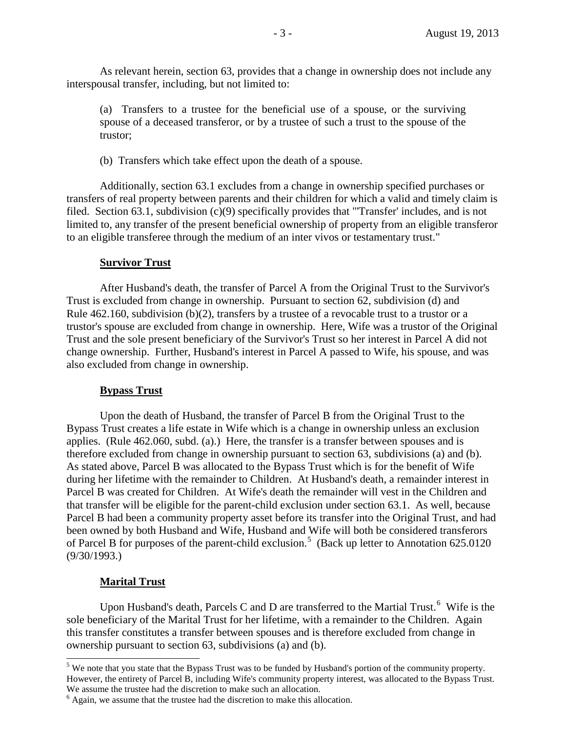As relevant herein, section 63, provides that a change in ownership does not include any interspousal transfer, including, but not limited to:

(a) Transfers to a trustee for the beneficial use of a spouse, or the surviving spouse of a deceased transferor, or by a trustee of such a trust to the spouse of the trustor;

(b) Transfers which take effect upon the death of a spouse.

Additionally, section 63.1 excludes from a change in ownership specified purchases or transfers of real property between parents and their children for which a valid and timely claim is filed. Section 63.1, subdivision (c)(9) specifically provides that "'Transfer' includes, and is not limited to, any transfer of the present beneficial ownership of property from an eligible transferor to an eligible transferee through the medium of an inter vivos or testamentary trust."

### **Survivor Trust**

After Husband's death, the transfer of Parcel A from the Original Trust to the Survivor's Trust is excluded from change in ownership. Pursuant to section 62, subdivision (d) and Rule 462.160, subdivision (b)(2), transfers by a trustee of a revocable trust to a trustor or a trustor's spouse are excluded from change in ownership. Here, Wife was a trustor of the Original Trust and the sole present beneficiary of the Survivor's Trust so her interest in Parcel A did not change ownership. Further, Husband's interest in Parcel A passed to Wife, his spouse, and was also excluded from change in ownership.

# **Bypass Trust**

Upon the death of Husband, the transfer of Parcel B from the Original Trust to the Bypass Trust creates a life estate in Wife which is a change in ownership unless an exclusion applies. (Rule 462.060, subd. (a).) Here, the transfer is a transfer between spouses and is therefore excluded from change in ownership pursuant to section 63, subdivisions (a) and (b). As stated above, Parcel B was allocated to the Bypass Trust which is for the benefit of Wife during her lifetime with the remainder to Children. At Husband's death, a remainder interest in Parcel B was created for Children. At Wife's death the remainder will vest in the Children and that transfer will be eligible for the parent-child exclusion under section 63.1. As well, because Parcel B had been a community property asset before its transfer into the Original Trust, and had been owned by both Husband and Wife, Husband and Wife will both be considered transferors of Parcel B for purposes of the parent-child exclusion.<sup>[5](#page-2-0)</sup> (Back up letter to Annotation 625.0120 (9/30/1993.)

# **Marital Trust**

Upon Husband's death, Parcels C and D are transferred to the Martial Trust.<sup>[6](#page-2-1)</sup> Wife is the sole beneficiary of the Marital Trust for her lifetime, with a remainder to the Children. Again this transfer constitutes a transfer between spouses and is therefore excluded from change in ownership pursuant to section 63, subdivisions (a) and (b).

<span id="page-2-0"></span><sup>&</sup>lt;sup>5</sup> We note that you state that the Bypass Trust was to be funded by Husband's portion of the community property. However, the entirety of Parcel B, including Wife's community property interest, was allocated to the Bypass Trust. We assume the trustee had the discretion to make such an allocation.<br><sup>6</sup> Again, we assume that the trustee had the discretion to make this allocation.

<span id="page-2-1"></span>